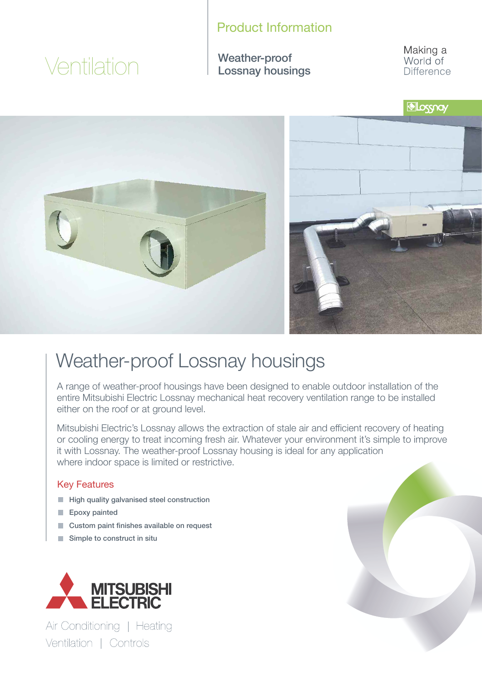### Product Information

# Ventilation

Weather-proof Lossnay housings Making a World of **Difference** 



## Weather-proof Lossnay housings

A range of weather-proof housings have been designed to enable outdoor installation of the entire Mitsubishi Electric Lossnay mechanical heat recovery ventilation range to be installed either on the roof or at ground level.

Mitsubishi Electric's Lossnay allows the extraction of stale air and efficient recovery of heating or cooling energy to treat incoming fresh air. Whatever your environment it's simple to improve it with Lossnay. The weather-proof Lossnay housing is ideal for any application where indoor space is limited or restrictive.

#### Key Features

- **High quality galvanised steel construction**
- Epoxy painted
- **Custom paint finishes available on request**
- Simple to construct in situ



Air Conditioning | Heating Ventilation | Controls